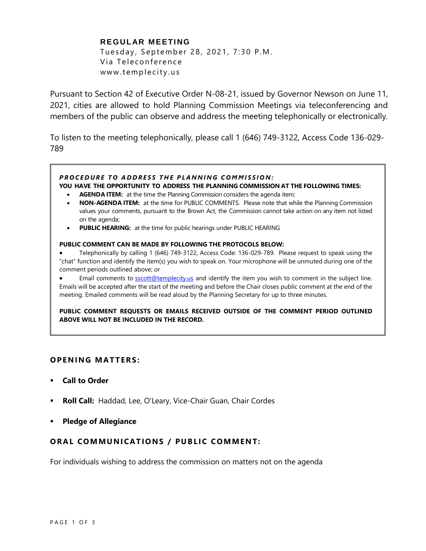# **REGULAR MEETING**

Tuesday, September 28, 2021, 7:30 P.M. Via Teleconference www.templecity.us

Pursuant to Section 42 of Executive Order N-08-21, issued by Governor Newson on June 11, 2021, cities are allowed to hold Planning Commission Meetings via teleconferencing and members of the public can observe and address the meeting telephonically or electronically.

To listen to the meeting telephonically, please call 1 (646) 749-3122, Access Code 136-029- 789

## *P R O C E D U R E T O A D D R E S S T H E P L A N N I N G C O M M I S S I O N :*

### **YOU HAVE THE OPPORTUNITY TO ADDRESS THE PLANNING COMMISSION AT THE FOLLOWING TIMES:**

- **AGENDA ITEM:** at the time the Planning Commission considers the agenda item;
- **NON-AGENDA ITEM:** at the time for PUBLIC COMMENTS. Please note that while the Planning Commission values your comments, pursuant to the Brown Act, the Commission cannot take action on any item not listed on the agenda;
- **PUBLIC HEARING:** at the time for public hearings under PUBLIC HEARING

#### **PUBLIC COMMENT CAN BE MADE BY FOLLOWING THE PROTOCOLS BELOW:**

- Telephonically by calling 1 (646) 749-3122, Access Code: 136-029-789. Please request to speak using the "chat" function and identify the item(s) you wish to speak on. Your microphone will be unmuted during one of the comment periods outlined above; or
- Email comments to **[sscott@templecity.us](mailto:sscott@templecity.us)** and identify the item you wish to comment in the subject line. Emails will be accepted after the start of the meeting and before the Chair closes public comment at the end of the meeting. Emailed comments will be read aloud by the Planning Secretary for up to three minutes.

**PUBLIC COMMENT REQUESTS OR EMAILS RECEIVED OUTSIDE OF THE COMMENT PERIOD OUTLINED ABOVE WILL NOT BE INCLUDED IN THE RECORD.**

## **OPEN ING MAT TERS :**

- **Call to Order**
- **Roll Call:** Haddad, Lee, O'Leary, Vice-Chair Guan, Chair Cordes
- **Pledge of Allegiance**

## **ORAL COMMUNICATIONS / PUBLIC COMMENT:**

For individuals wishing to address the commission on matters not on the agenda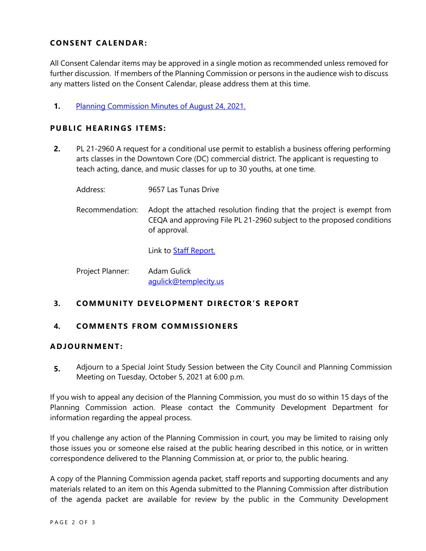# **CONSENT CA LENDAR:**

All Consent Calendar items may be approved in a single motion as recommended unless removed for further discussion. If members of the Planning Commission or persons in the audience wish to discuss any matters listed on the Consent Calendar, please address them at this time.

**1.** [Planning Commission Minutes of August 24, 2021.](https://www.ci.temple-city.ca.us/DocumentCenter/View/16791/PCM-8-24-Minutes)

# **PUBLIC HEARINGS ITEMS:**

- **2.** PL 21-2960 A request for a conditional use permit to establish a business offering performing arts classes in the Downtown Core (DC) commercial district. The applicant is requesting to teach acting, dance, and music classes for up to 30 youths, at one time.
	- Address: 9657 Las Tunas Drive
	- Recommendation: Adopt the attached resolution finding that the project is exempt from CEQA and approving File PL 21-2960 subject to the proposed conditions of approval.

Link to **Staff Report.** 

Project Planner: Adam Gulick agulick@templecity.us

# **3. COMMUNI TY DE VELOPM ENT DI RE CTOR'S R EPORT**

## **4. COMMEN TS F ROM COMM ISSIONE RS**

## **ADJOU RNMENT:**

**5.** Adjourn to a Special Joint Study Session between the City Council and Planning Commission Meeting on Tuesday, October 5, 2021 at 6:00 p.m.

If you wish to appeal any decision of the Planning Commission, you must do so within 15 days of the Planning Commission action. Please contact the Community Development Department for information regarding the appeal process.

If you challenge any action of the Planning Commission in court, you may be limited to raising only those issues you or someone else raised at the public hearing described in this notice, or in written correspondence delivered to the Planning Commission at, or prior to, the public hearing.

A copy of the Planning Commission agenda packet, staff reports and supporting documents and any materials related to an item on this Agenda submitted to the Planning Commission after distribution of the agenda packet are available for review by the public in the Community Development